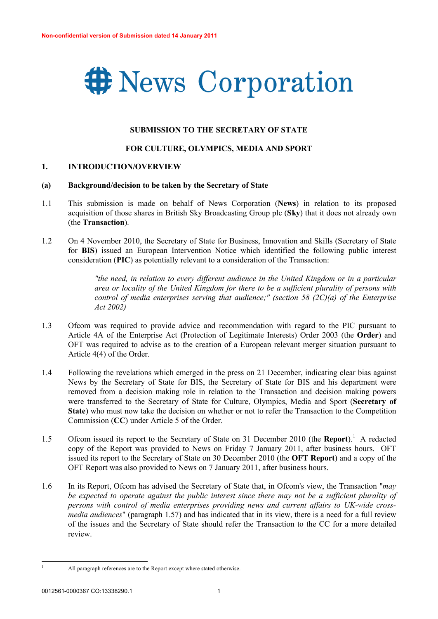

#### **SUBMISSION TO THE SECRETARY OF STATE**

#### **FOR CULTURE, OLYMPICS, MEDIA AND SPORT**

#### **1. INTRODUCTION/OVERVIEW**

#### **(a) Background/decision to be taken by the Secretary of State**

- 1.1 This submission is made on behalf of News Corporation (**News**) in relation to its proposed acquisition of those shares in British Sky Broadcasting Group plc (**Sky**) that it does not already own (the **Transaction**).
- 1.2 On 4 November 2010, the Secretary of State for Business, Innovation and Skills (Secretary of State for **BIS**) issued an European Intervention Notice which identified the following public interest consideration (**PIC**) as potentially relevant to a consideration of the Transaction:

*"the need, in relation to every different audience in the United Kingdom or in a particular area or locality of the United Kingdom for there to be a sufficient plurality of persons with control of media enterprises serving that audience;" (section 58 (2C)(a) of the Enterprise Act 2002)*

- 1.3 Ofcom was required to provide advice and recommendation with regard to the PIC pursuant to Article 4A of the Enterprise Act (Protection of Legitimate Interests) Order 2003 (the **Order**) and OFT was required to advise as to the creation of a European relevant merger situation pursuant to Article 4(4) of the Order.
- 1.4 Following the revelations which emerged in the press on 21 December, indicating clear bias against News by the Secretary of State for BIS, the Secretary of State for BIS and his department were removed from a decision making role in relation to the Transaction and decision making powers were transferred to the Secretary of State for Culture, Olympics, Media and Sport (**Secretary of State**) who must now take the decision on whether or not to refer the Transaction to the Competition Commission (**CC**) under Article 5 of the Order.
- 1.5 Ofcom issued its report to the Secretary of State on 31 December 2010 (the **Report**).<sup>1</sup> A redacted copy of the Report was provided to News on Friday 7 January 2011, after business hours. OFT issued its report to the Secretary of State on 30 December 2010 (the **OFT Report**) and a copy of the OFT Report was also provided to News on 7 January 2011, after business hours.
- 1.6 In its Report, Ofcom has advised the Secretary of State that, in Ofcom's view, the Transaction "*may be expected to operate against the public interest since there may not be a sufficient plurality of persons with control of media enterprises providing news and current affairs to UK-wide crossmedia audiences*" (paragraph 1.57) and has indicated that in its view, there is a need for a full review of the issues and the Secretary of State should refer the Transaction to the CC for a more detailed review.

<sup>&</sup>lt;sup>1</sup> All paragraph references are to the Report except where stated otherwise.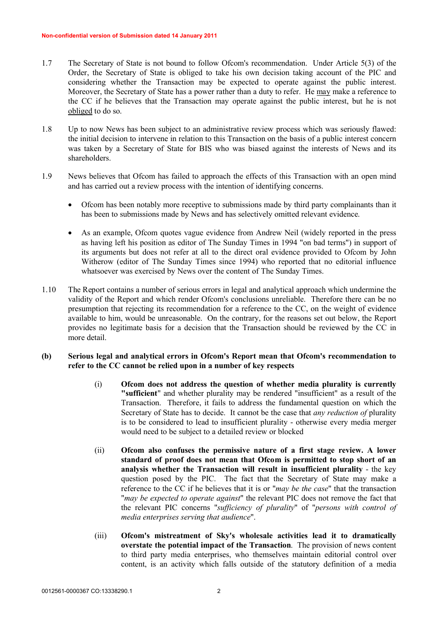- 1.7 The Secretary of State is not bound to follow Ofcom's recommendation. Under Article 5(3) of the Order, the Secretary of State is obliged to take his own decision taking account of the PIC and considering whether the Transaction may be expected to operate against the public interest. Moreover, the Secretary of State has a power rather than a duty to refer. He may make a reference to the CC if he believes that the Transaction may operate against the public interest, but he is not obliged to do so.
- 1.8 Up to now News has been subject to an administrative review process which was seriously flawed: the initial decision to intervene in relation to this Transaction on the basis of a public interest concern was taken by a Secretary of State for BIS who was biased against the interests of News and its shareholders.
- 1.9 News believes that Ofcom has failed to approach the effects of this Transaction with an open mind and has carried out a review process with the intention of identifying concerns.
	- · Ofcom has been notably more receptive to submissions made by third party complainants than it has been to submissions made by News and has selectively omitted relevant evidence.
	- As an example, Ofcom quotes vague evidence from Andrew Neil (widely reported in the press as having left his position as editor of The Sunday Times in 1994 "on bad terms") in support of its arguments but does not refer at all to the direct oral evidence provided to Ofcom by John Witherow (editor of The Sunday Times since 1994) who reported that no editorial influence whatsoever was exercised by News over the content of The Sunday Times.
- 1.10 The Report contains a number of serious errors in legal and analytical approach which undermine the validity of the Report and which render Ofcom's conclusions unreliable. Therefore there can be no presumption that rejecting its recommendation for a reference to the CC, on the weight of evidence available to him, would be unreasonable. On the contrary, for the reasons set out below, the Report provides no legitimate basis for a decision that the Transaction should be reviewed by the CC in more detail.

# **(b) Serious legal and analytical errors in Ofcom's Report mean that Ofcom's recommendation to refer to the CC cannot be relied upon in a number of key respects**

- (i) **Ofcom does not address the question of whether media plurality is currently "sufficient**" and whether plurality may be rendered "insufficient" as a result of the Transaction. Therefore, it fails to address the fundamental question on which the Secretary of State has to decide. It cannot be the case that *any reduction of* plurality is to be considered to lead to insufficient plurality - otherwise every media merger would need to be subject to a detailed review or blocked
- (ii) **Ofcom also confuses the permissive nature of a first stage review. A lower standard of proof does not mean that Ofcom is permitted to stop short of an analysis whether the Transaction will result in insufficient plurality** - the key question posed by the PIC. The fact that the Secretary of State may make a reference to the CC if he believes that it is or "*may be the case*" that the transaction "*may be expected to operate against*" the relevant PIC does not remove the fact that the relevant PIC concerns "*sufficiency of plurality*" of "*persons with control of media enterprises serving that audience*".
- (iii) **Ofcom's mistreatment of Sky's wholesale activities lead it to dramatically overstate the potential impact of the Transaction**. The provision of news content to third party media enterprises, who themselves maintain editorial control over content, is an activity which falls outside of the statutory definition of a media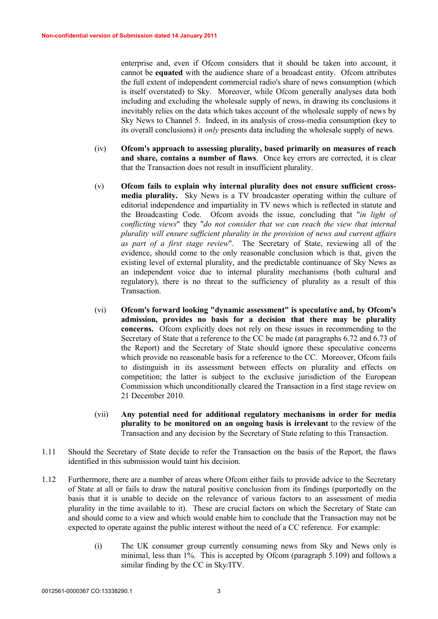enterprise and, even if Ofcom considers that it should be taken into account, it cannot be **equated** with the audience share of a broadcast entity. Ofcom attributes the full extent of independent commercial radio's share of news consumption (which is itself overstated) to Sky. Moreover, while Ofcom generally analyses data both including and excluding the wholesale supply of news, in drawing its conclusions it inevitably relies on the data which takes account of the wholesale supply of news by Sky News to Channel 5. Indeed, in its analysis of cross-media consumption (key to its overall conclusions) it *only* presents data including the wholesale supply of news.

- (iv) **Ofcom's approach to assessing plurality, based primarily on measures of reach and share, contains a number of flaws**. Once key errors are corrected, it is clear that the Transaction does not result in insufficient plurality.
- (v) **Ofcom fails to explain why internal plurality does not ensure sufficient crossmedia plurality.** Sky News is a TV broadcaster operating within the culture of editorial independence and impartiality in TV news which is reflected in statute and the Broadcasting Code. Ofcom avoids the issue, concluding that "*in light of conflicting views*" they "*do not consider that we can reach the view that internal plurality will ensure sufficient plurality in the provision of news and current affairs as part of a first stage review*". The Secretary of State, reviewing all of the evidence, should come to the only reasonable conclusion which is that, given the existing level of external plurality, and the predictable continuance of Sky News as an independent voice due to internal plurality mechanisms (both cultural and regulatory), there is no threat to the sufficiency of plurality as a result of this **Transaction**
- (vi) **Ofcom's forward looking "dynamic assessment" is speculative and, by Ofcom's admission, provides no basis for a decision that there may be plurality concerns.** Ofcom explicitly does not rely on these issues in recommending to the Secretary of State that a reference to the CC be made (at paragraphs 6.72 and 6.73 of the Report) and the Secretary of State should ignore these speculative concerns which provide no reasonable basis for a reference to the CC. Moreover, Ofcom fails to distinguish in its assessment between effects on plurality and effects on competition; the latter is subject to the exclusive jurisdiction of the European Commission which unconditionally cleared the Transaction in a first stage review on 21 December 2010.
- (vii) **Any potential need for additional regulatory mechanisms in order for media plurality to be monitored on an ongoing basis is irrelevant** to the review of the Transaction and any decision by the Secretary of State relating to this Transaction.
- 1.11 Should the Secretary of State decide to refer the Transaction on the basis of the Report, the flaws identified in this submission would taint his decision.
- 1.12 Furthermore, there are a number of areas where Ofcom either fails to provide advice to the Secretary of State at all or fails to draw the natural positive conclusion from its findings (purportedly on the basis that it is unable to decide on the relevance of various factors to an assessment of media plurality in the time available to it). These are crucial factors on which the Secretary of State can and should come to a view and which would enable him to conclude that the Transaction may not be expected to operate against the public interest without the need of a CC reference. For example:
	- (i) The UK consumer group currently consuming news from Sky and News only is minimal, less than 1%. This is accepted by Ofcom (paragraph 5.109) and follows a similar finding by the CC in Sky/ITV.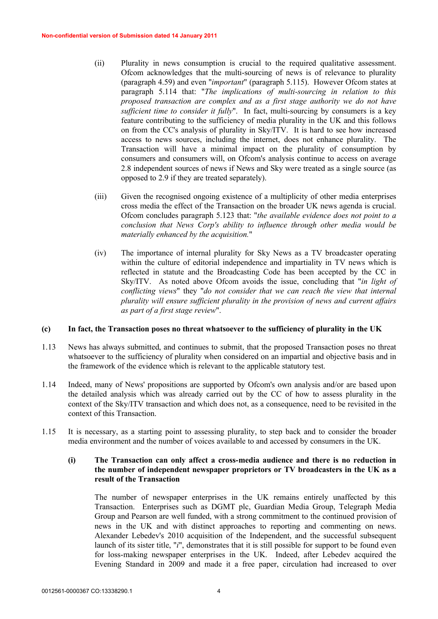- (ii) Plurality in news consumption is crucial to the required qualitative assessment. Ofcom acknowledges that the multi-sourcing of news is of relevance to plurality (paragraph 4.59) and even "*important*" (paragraph 5.115). However Ofcom states at paragraph 5.114 that: "*The implications of multi-sourcing in relation to this proposed transaction are complex and as a first stage authority we do not have sufficient time to consider it fully*". In fact, multi-sourcing by consumers is a key feature contributing to the sufficiency of media plurality in the UK and this follows on from the CC's analysis of plurality in Sky/ITV. It is hard to see how increased access to news sources, including the internet, does not enhance plurality. The Transaction will have a minimal impact on the plurality of consumption by consumers and consumers will, on Ofcom's analysis continue to access on average 2.8 independent sources of news if News and Sky were treated as a single source (as opposed to 2.9 if they are treated separately).
- (iii) Given the recognised ongoing existence of a multiplicity of other media enterprises cross media the effect of the Transaction on the broader UK news agenda is crucial. Ofcom concludes paragraph 5.123 that: "*the available evidence does not point to a conclusion that News Corp's ability to influence through other media would be materially enhanced by the acquisition.*"
- (iv) The importance of internal plurality for Sky News as a TV broadcaster operating within the culture of editorial independence and impartiality in TV news which is reflected in statute and the Broadcasting Code has been accepted by the CC in Sky/ITV. As noted above Ofcom avoids the issue, concluding that "*in light of conflicting views*" they "*do not consider that we can reach the view that internal plurality will ensure sufficient plurality in the provision of news and current affairs as part of a first stage review*".

#### **(c) In fact, the Transaction poses no threat whatsoever to the sufficiency of plurality in the UK**

- 1.13 News has always submitted, and continues to submit, that the proposed Transaction poses no threat whatsoever to the sufficiency of plurality when considered on an impartial and objective basis and in the framework of the evidence which is relevant to the applicable statutory test.
- 1.14 Indeed, many of News' propositions are supported by Ofcom's own analysis and/or are based upon the detailed analysis which was already carried out by the CC of how to assess plurality in the context of the Sky/ITV transaction and which does not, as a consequence, need to be revisited in the context of this Transaction.
- 1.15 It is necessary, as a starting point to assessing plurality, to step back and to consider the broader media environment and the number of voices available to and accessed by consumers in the UK.

## **(i) The Transaction can only affect a cross-media audience and there is no reduction in the number of independent newspaper proprietors or TV broadcasters in the UK as a result of the Transaction**

The number of newspaper enterprises in the UK remains entirely unaffected by this Transaction. Enterprises such as DGMT plc, Guardian Media Group, Telegraph Media Group and Pearson are well funded, with a strong commitment to the continued provision of news in the UK and with distinct approaches to reporting and commenting on news. Alexander Lebedev's 2010 acquisition of the Independent, and the successful subsequent launch of its sister title, "*i*", demonstrates that it is still possible for support to be found even for loss-making newspaper enterprises in the UK. Indeed, after Lebedev acquired the Evening Standard in 2009 and made it a free paper, circulation had increased to over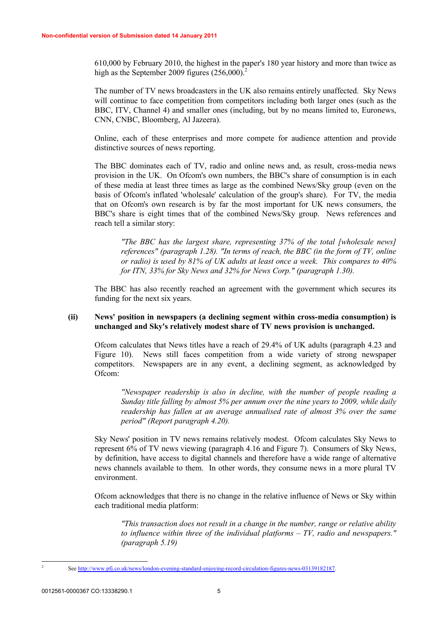610,000 by February 2010, the highest in the paper's 180 year history and more than twice as high as the September 2009 figures  $(256,000)^2$ 

The number of TV news broadcasters in the UK also remains entirely unaffected. Sky News will continue to face competition from competitors including both larger ones (such as the BBC, ITV, Channel 4) and smaller ones (including, but by no means limited to, Euronews, CNN, CNBC, Bloomberg, Al Jazeera).

Online, each of these enterprises and more compete for audience attention and provide distinctive sources of news reporting.

The BBC dominates each of TV, radio and online news and, as result, cross-media news provision in the UK. On Ofcom's own numbers, the BBC's share of consumption is in each of these media at least three times as large as the combined News/Sky group (even on the basis of Ofcom's inflated 'wholesale' calculation of the group's share). For TV, the media that on Ofcom's own research is by far the most important for UK news consumers, the BBC's share is eight times that of the combined News/Sky group. News references and reach tell a similar story:

*"The BBC has the largest share, representing 37% of the total [wholesale news] references" (paragraph 1.28). "In terms of reach, the BBC (in the form of TV, online or radio) is used by 81% of UK adults at least once a week. This compares to 40% for ITN, 33% for Sky News and 32% for News Corp." (paragraph 1.30).*

The BBC has also recently reached an agreement with the government which secures its funding for the next six years.

## **(ii) News' position in newspapers (a declining segment within cross-media consumption) is unchanged and Sky's relatively modest share of TV news provision is unchanged.**

Ofcom calculates that News titles have a reach of 29.4% of UK adults (paragraph 4.23 and Figure 10). News still faces competition from a wide variety of strong newspaper competitors. Newspapers are in any event, a declining segment, as acknowledged by Ofcom:

*"Newspaper readership is also in decline, with the number of people reading a Sunday title falling by almost 5% per annum over the nine years to 2009, while daily readership has fallen at an average annualised rate of almost 3% over the same period" (Report paragraph 4.20).*

Sky News' position in TV news remains relatively modest. Ofcom calculates Sky News to represent 6% of TV news viewing (paragraph 4.16 and Figure 7). Consumers of Sky News, by definition, have access to digital channels and therefore have a wide range of alternative news channels available to them. In other words, they consume news in a more plural TV environment.

Ofcom acknowledges that there is no change in the relative influence of News or Sky within each traditional media platform:

*"This transaction does not result in a change in the number, range or relative ability to influence within three of the individual platforms – TV, radio and newspapers." (paragraph 5.19)*

2

See [http://](http://www.pfj.co.uk/news/london-evening-standard-enjoying-record-circulation-figures-news-03139182187)<www.pfj.co.uk/news/london-evening-standard-enjoying-record-circulation-figures-news-03139182187>.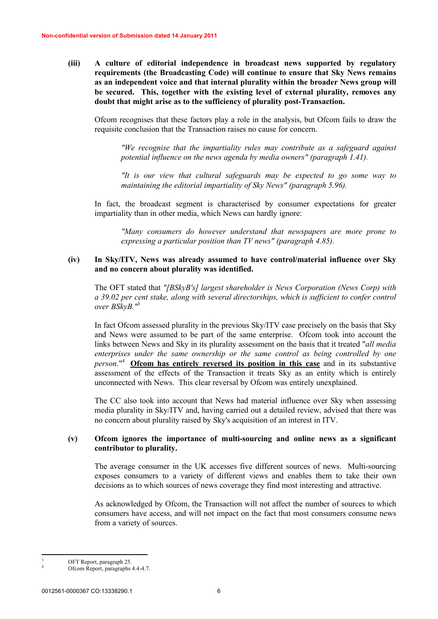**(iii) A culture of editorial independence in broadcast news supported by regulatory requirements (the Broadcasting Code) will continue to ensure that Sky News remains as an independent voice and that internal plurality within the broader News group will be secured. This, together with the existing level of external plurality, removes any doubt that might arise as to the sufficiency of plurality post-Transaction.**

Ofcom recognises that these factors play a role in the analysis, but Ofcom fails to draw the requisite conclusion that the Transaction raises no cause for concern.

*"We recognise that the impartiality rules may contribute as a safeguard against potential influence on the news agenda by media owners" (paragraph 1.41).*

*"It is our view that cultural safeguards may be expected to go some way to maintaining the editorial impartiality of Sky News" (paragraph 5.96).*

In fact, the broadcast segment is characterised by consumer expectations for greater impartiality than in other media, which News can hardly ignore:

*"Many consumers do however understand that newspapers are more prone to expressing a particular position than TV news" (paragraph 4.85).*

#### **(iv) In Sky/ITV, News was already assumed to have control/material influence over Sky and no concern about plurality was identified.**

The OFT stated that *"[BSkyB's] largest shareholder is News Corporation (News Corp) with a 39.02 per cent stake, along with several directorships, which is sufficient to confer control over BSkyB."*<sup>3</sup>

In fact Ofcom assessed plurality in the previous Sky/ITV case precisely on the basis that Sky and News were assumed to be part of the same enterprise. Ofcom took into account the links between News and Sky in its plurality assessment on the basis that it treated "*all media enterprises under the same ownership or the same control as being controlled by one person*."<sup>4</sup> **Ofcom has entirely reversed its position in this case** and in its substantive assessment of the effects of the Transaction it treats Sky as an entity which is entirely unconnected with News. This clear reversal by Ofcom was entirely unexplained.

The CC also took into account that News had material influence over Sky when assessing media plurality in Sky/ITV and, having carried out a detailed review, advised that there was no concern about plurality raised by Sky's acquisition of an interest in ITV.

#### **(v) Ofcom ignores the importance of multi-sourcing and online news as a significant contributor to plurality.**

The average consumer in the UK accesses five different sources of news. Multi-sourcing exposes consumers to a variety of different views and enables them to take their own decisions as to which sources of news coverage they find most interesting and attractive.

As acknowledged by Ofcom, the Transaction will not affect the number of sources to which consumers have access, and will not impact on the fact that most consumers consume news from a variety of sources.

OFT Report, paragraph 25.

Ofcom Report, paragraphs 4.4-4.7.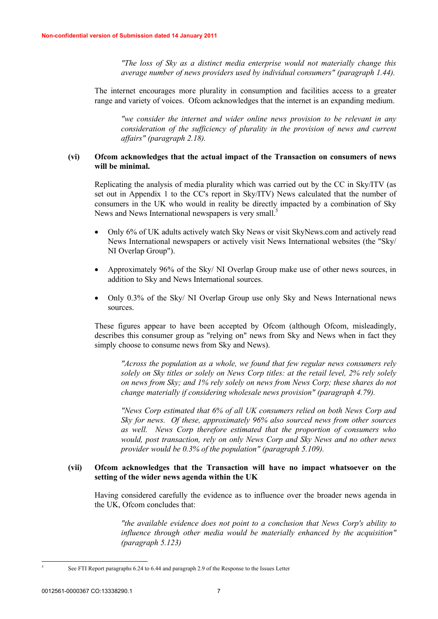*"The loss of Sky as a distinct media enterprise would not materially change this average number of news providers used by individual consumers" (paragraph 1.44).*

The internet encourages more plurality in consumption and facilities access to a greater range and variety of voices. Ofcom acknowledges that the internet is an expanding medium.

*"we consider the internet and wider online news provision to be relevant in any consideration of the sufficiency of plurality in the provision of news and current affairs" (paragraph 2.18).* 

## **(vi) Ofcom acknowledges that the actual impact of the Transaction on consumers of news will be minimal.**

Replicating the analysis of media plurality which was carried out by the CC in Sky/ITV (as set out in Appendix 1 to the CC's report in Sky/ITV) News calculated that the number of consumers in the UK who would in reality be directly impacted by a combination of Sky News and News International newspapers is very small.<sup>5</sup>

- · Only 6% of UK adults actively watch Sky News or visit SkyNews.com and actively read News International newspapers or actively visit News International websites (the "Sky/ NI Overlap Group").
- · Approximately 96% of the Sky/ NI Overlap Group make use of other news sources, in addition to Sky and News International sources.
- Only 0.3% of the Sky/ NI Overlap Group use only Sky and News International news sources.

These figures appear to have been accepted by Ofcom (although Ofcom, misleadingly, describes this consumer group as "relying on" news from Sky and News when in fact they simply choose to consume news from Sky and News).

*"Across the population as a whole, we found that few regular news consumers rely solely on Sky titles or solely on News Corp titles: at the retail level, 2% rely solely on news from Sky; and 1% rely solely on news from News Corp; these shares do not change materially if considering wholesale news provision" (paragraph 4.79).*

*"News Corp estimated that 6% of all UK consumers relied on both News Corp and Sky for news. Of these, approximately 96% also sourced news from other sources as well. News Corp therefore estimated that the proportion of consumers who would, post transaction, rely on only News Corp and Sky News and no other news provider would be 0.3% of the population" (paragraph 5.109).*

## **(vii) Ofcom acknowledges that the Transaction will have no impact whatsoever on the setting of the wider news agenda within the UK**

Having considered carefully the evidence as to influence over the broader news agenda in the UK, Ofcom concludes that:

*"the available evidence does not point to a conclusion that News Corp's ability to influence through other media would be materially enhanced by the acquisition" (paragraph 5.123)*

5

See FTI Report paragraphs 6.24 to 6.44 and paragraph 2.9 of the Response to the Issues Letter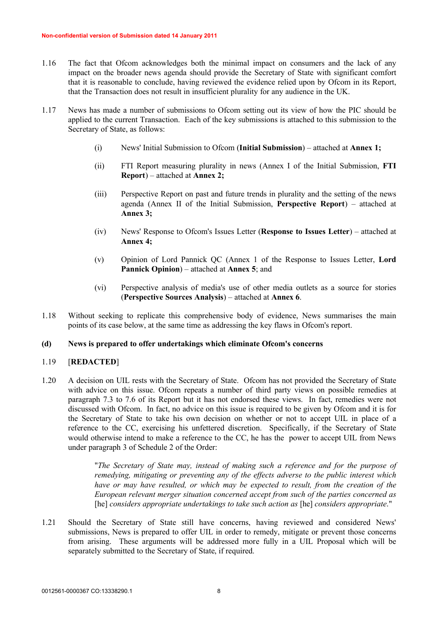- 1.16 The fact that Ofcom acknowledges both the minimal impact on consumers and the lack of any impact on the broader news agenda should provide the Secretary of State with significant comfort that it is reasonable to conclude, having reviewed the evidence relied upon by Ofcom in its Report, that the Transaction does not result in insufficient plurality for any audience in the UK.
- 1.17 News has made a number of submissions to Ofcom setting out its view of how the PIC should be applied to the current Transaction. Each of the key submissions is attached to this submission to the Secretary of State, as follows:
	- (i) News' Initial Submission to Ofcom (**Initial Submission**) attached at **Annex 1;**
	- (ii) FTI Report measuring plurality in news (Annex I of the Initial Submission, **FTI Report**) – attached at **Annex 2;**
	- (iii) Perspective Report on past and future trends in plurality and the setting of the news agenda (Annex II of the Initial Submission, **Perspective Report**) – attached at **Annex 3;**
	- (iv) News' Response to Ofcom's Issues Letter (**Response to Issues Letter**) attached at **Annex 4;**
	- (v) Opinion of Lord Pannick QC (Annex 1 of the Response to Issues Letter, **Lord Pannick Opinion**) – attached at **Annex 5**; and
	- (vi) Perspective analysis of media's use of other media outlets as a source for stories (**Perspective Sources Analysis**) – attached at **Annex 6**.
- 1.18 Without seeking to replicate this comprehensive body of evidence, News summarises the main points of its case below, at the same time as addressing the key flaws in Ofcom's report.

## **(d) News is prepared to offer undertakings which eliminate Ofcom's concerns**

#### 1.19 [**REDACTED**]

1.20 A decision on UIL rests with the Secretary of State. Ofcom has not provided the Secretary of State with advice on this issue. Ofcom repeats a number of third party views on possible remedies at paragraph 7.3 to 7.6 of its Report but it has not endorsed these views. In fact, remedies were not discussed with Ofcom. In fact, no advice on this issue is required to be given by Ofcom and it is for the Secretary of State to take his own decision on whether or not to accept UIL in place of a reference to the CC, exercising his unfettered discretion. Specifically, if the Secretary of State would otherwise intend to make a reference to the CC, he has the power to accept UIL from News under paragraph 3 of Schedule 2 of the Order:

> "*The Secretary of State may, instead of making such a reference and for the purpose of remedying, mitigating or preventing any of the effects adverse to the public interest which have or may have resulted, or which may be expected to result, from the creation of the European relevant merger situation concerned accept from such of the parties concerned as*  [he] *considers appropriate undertakings to take such action as* [he] *considers appropriate*."

1.21 Should the Secretary of State still have concerns, having reviewed and considered News' submissions, News is prepared to offer UIL in order to remedy, mitigate or prevent those concerns from arising. These arguments will be addressed more fully in a UIL Proposal which will be separately submitted to the Secretary of State, if required.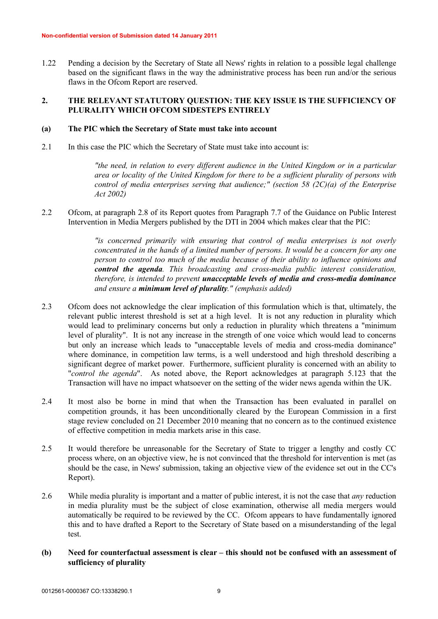1.22 Pending a decision by the Secretary of State all News' rights in relation to a possible legal challenge based on the significant flaws in the way the administrative process has been run and/or the serious flaws in the Ofcom Report are reserved.

# **2. THE RELEVANT STATUTORY QUESTION: THE KEY ISSUE IS THE SUFFICIENCY OF PLURALITY WHICH OFCOM SIDESTEPS ENTIRELY**

#### **(a) The PIC which the Secretary of State must take into account**

2.1 In this case the PIC which the Secretary of State must take into account is:

*"the need, in relation to every different audience in the United Kingdom or in a particular area or locality of the United Kingdom for there to be a sufficient plurality of persons with control of media enterprises serving that audience;" (section 58 (2C)(a) of the Enterprise Act 2002)*

2.2 Ofcom, at paragraph 2.8 of its Report quotes from Paragraph 7.7 of the Guidance on Public Interest Intervention in Media Mergers published by the DTI in 2004 which makes clear that the PIC:

> *"is concerned primarily with ensuring that control of media enterprises is not overly concentrated in the hands of a limited number of persons. It would be a concern for any one person to control too much of the media because of their ability to influence opinions and control the agenda. This broadcasting and cross-media public interest consideration, therefore, is intended to prevent unacceptable levels of media and cross-media dominance and ensure a minimum level of plurality." (emphasis added)*

- 2.3 Ofcom does not acknowledge the clear implication of this formulation which is that, ultimately, the relevant public interest threshold is set at a high level. It is not any reduction in plurality which would lead to preliminary concerns but only a reduction in plurality which threatens a "minimum level of plurality". It is not any increase in the strength of one voice which would lead to concerns but only an increase which leads to "unacceptable levels of media and cross-media dominance" where dominance, in competition law terms, is a well understood and high threshold describing a significant degree of market power. Furthermore, sufficient plurality is concerned with an ability to "*control the agenda*". As noted above, the Report acknowledges at paragraph 5.123 that the Transaction will have no impact whatsoever on the setting of the wider news agenda within the UK.
- 2.4 It most also be borne in mind that when the Transaction has been evaluated in parallel on competition grounds, it has been unconditionally cleared by the European Commission in a first stage review concluded on 21 December 2010 meaning that no concern as to the continued existence of effective competition in media markets arise in this case.
- 2.5 It would therefore be unreasonable for the Secretary of State to trigger a lengthy and costly CC process where, on an objective view, he is not convinced that the threshold for intervention is met (as should be the case, in News' submission, taking an objective view of the evidence set out in the CC's Report).
- 2.6 While media plurality is important and a matter of public interest, it is not the case that *any* reduction in media plurality must be the subject of close examination, otherwise all media mergers would automatically be required to be reviewed by the CC. Ofcom appears to have fundamentally ignored this and to have drafted a Report to the Secretary of State based on a misunderstanding of the legal test.
- **(b) Need for counterfactual assessment is clear – this should not be confused with an assessment of sufficiency of plurality**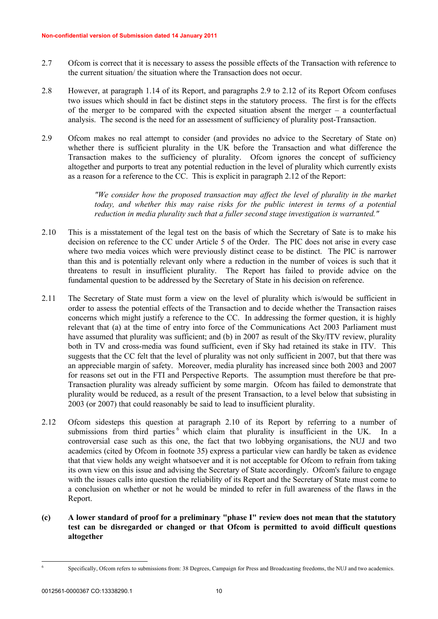- 2.7 Ofcom is correct that it is necessary to assess the possible effects of the Transaction with reference to the current situation/ the situation where the Transaction does not occur.
- 2.8 However, at paragraph 1.14 of its Report, and paragraphs 2.9 to 2.12 of its Report Ofcom confuses two issues which should in fact be distinct steps in the statutory process. The first is for the effects of the merger to be compared with the expected situation absent the merger – a counterfactual analysis. The second is the need for an assessment of sufficiency of plurality post-Transaction.
- 2.9 Ofcom makes no real attempt to consider (and provides no advice to the Secretary of State on) whether there is sufficient plurality in the UK before the Transaction and what difference the Transaction makes to the sufficiency of plurality. Ofcom ignores the concept of sufficiency altogether and purports to treat any potential reduction in the level of plurality which currently exists as a reason for a reference to the CC. This is explicit in paragraph 2.12 of the Report:

*"We consider how the proposed transaction may affect the level of plurality in the market today, and whether this may raise risks for the public interest in terms of a potential reduction in media plurality such that a fuller second stage investigation is warranted."*

- 2.10 This is a misstatement of the legal test on the basis of which the Secretary of Sate is to make his decision on reference to the CC under Article 5 of the Order. The PIC does not arise in every case where two media voices which were previously distinct cease to be distinct. The PIC is narrower than this and is potentially relevant only where a reduction in the number of voices is such that it threatens to result in insufficient plurality. The Report has failed to provide advice on the fundamental question to be addressed by the Secretary of State in his decision on reference.
- 2.11 The Secretary of State must form a view on the level of plurality which is/would be sufficient in order to assess the potential effects of the Transaction and to decide whether the Transaction raises concerns which might justify a reference to the CC. In addressing the former question, it is highly relevant that (a) at the time of entry into force of the Communications Act 2003 Parliament must have assumed that plurality was sufficient; and (b) in 2007 as result of the Sky/ITV review, plurality both in TV and cross-media was found sufficient, even if Sky had retained its stake in ITV. This suggests that the CC felt that the level of plurality was not only sufficient in 2007, but that there was an appreciable margin of safety. Moreover, media plurality has increased since both 2003 and 2007 for reasons set out in the FTI and Perspective Reports. The assumption must therefore be that pre-Transaction plurality was already sufficient by some margin. Ofcom has failed to demonstrate that plurality would be reduced, as a result of the present Transaction, to a level below that subsisting in 2003 (or 2007) that could reasonably be said to lead to insufficient plurality.
- 2.12 Ofcom sidesteps this question at paragraph 2.10 of its Report by referring to a number of submissions from third parties <sup>6</sup> which claim that plurality is insufficient in the UK. In a controversial case such as this one, the fact that two lobbying organisations, the NUJ and two academics (cited by Ofcom in footnote 35) express a particular view can hardly be taken as evidence that that view holds any weight whatsoever and it is not acceptable for Ofcom to refrain from taking its own view on this issue and advising the Secretary of State accordingly. Ofcom's failure to engage with the issues calls into question the reliability of its Report and the Secretary of State must come to a conclusion on whether or not he would be minded to refer in full awareness of the flaws in the Report.
- **(c) A lower standard of proof for a preliminary "phase I" review does not mean that the statutory test can be disregarded or changed or that Ofcom is permitted to avoid difficult questions altogether**

6

Specifically, Ofcom refers to submissions from: 38 Degrees, Campaign for Press and Broadcasting freedoms, the NUJ and two academics.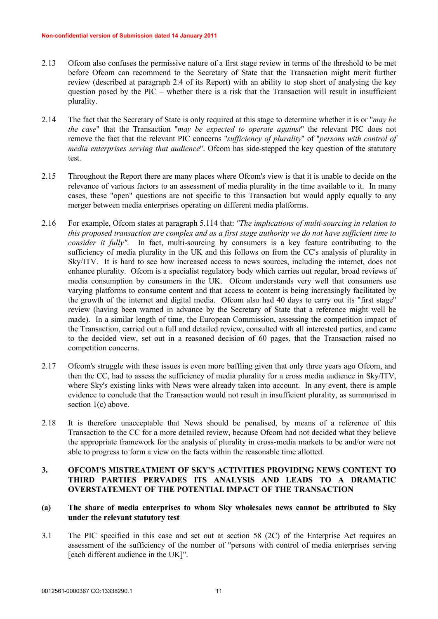- 2.13 Ofcom also confuses the permissive nature of a first stage review in terms of the threshold to be met before Ofcom can recommend to the Secretary of State that the Transaction might merit further review (described at paragraph 2.4 of its Report) with an ability to stop short of analysing the key question posed by the PIC – whether there is a risk that the Transaction will result in insufficient plurality.
- 2.14 The fact that the Secretary of State is only required at this stage to determine whether it is or "*may be the case*" that the Transaction "*may be expected to operate against*" the relevant PIC does not remove the fact that the relevant PIC concerns "*sufficiency of plurality*" of "*persons with control of media enterprises serving that audience*". Ofcom has side-stepped the key question of the statutory test.
- 2.15 Throughout the Report there are many places where Ofcom's view is that it is unable to decide on the relevance of various factors to an assessment of media plurality in the time available to it. In many cases, these "open" questions are not specific to this Transaction but would apply equally to any merger between media enterprises operating on different media platforms.
- 2.16 For example, Ofcom states at paragraph 5.114 that: *"The implications of multi-sourcing in relation to this proposed transaction are complex and as a first stage authority we do not have sufficient time to consider it fully"*. In fact, multi-sourcing by consumers is a key feature contributing to the sufficiency of media plurality in the UK and this follows on from the CC's analysis of plurality in Sky/ITV. It is hard to see how increased access to news sources, including the internet, does not enhance plurality. Ofcom is a specialist regulatory body which carries out regular, broad reviews of media consumption by consumers in the UK. Ofcom understands very well that consumers use varying platforms to consume content and that access to content is being increasingly facilitated by the growth of the internet and digital media. Ofcom also had 40 days to carry out its "first stage" review (having been warned in advance by the Secretary of State that a reference might well be made). In a similar length of time, the European Commission, assessing the competition impact of the Transaction, carried out a full and detailed review, consulted with all interested parties, and came to the decided view, set out in a reasoned decision of 60 pages, that the Transaction raised no competition concerns.
- 2.17 Ofcom's struggle with these issues is even more baffling given that only three years ago Ofcom, and then the CC, had to assess the sufficiency of media plurality for a cross media audience in Sky/ITV, where Sky's existing links with News were already taken into account. In any event, there is ample evidence to conclude that the Transaction would not result in insufficient plurality, as summarised in section 1(c) above.
- 2.18 It is therefore unacceptable that News should be penalised, by means of a reference of this Transaction to the CC for a more detailed review, because Ofcom had not decided what they believe the appropriate framework for the analysis of plurality in cross-media markets to be and/or were not able to progress to form a view on the facts within the reasonable time allotted.

# **3. OFCOM'S MISTREATMENT OF SKY'S ACTIVITIES PROVIDING NEWS CONTENT TO THIRD PARTIES PERVADES ITS ANALYSIS AND LEADS TO A DRAMATIC OVERSTATEMENT OF THE POTENTIAL IMPACT OF THE TRANSACTION**

# **(a) The share of media enterprises to whom Sky wholesales news cannot be attributed to Sky under the relevant statutory test**

3.1 The PIC specified in this case and set out at section 58 (2C) of the Enterprise Act requires an assessment of the sufficiency of the number of "persons with control of media enterprises serving [each different audience in the UK]".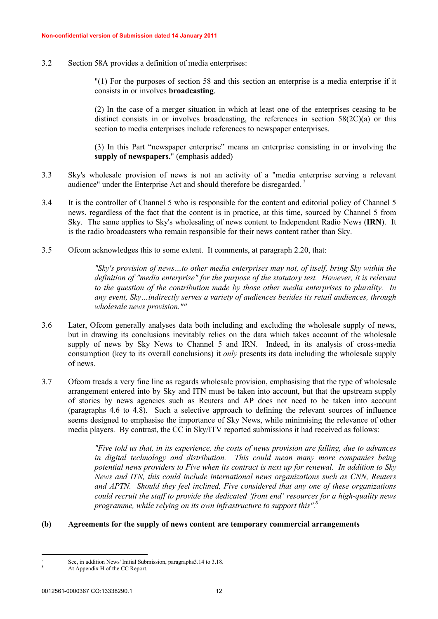3.2 Section 58A provides a definition of media enterprises:

"(1) For the purposes of section 58 and this section an enterprise is a media enterprise if it consists in or involves **broadcasting**.

(2) In the case of a merger situation in which at least one of the enterprises ceasing to be distinct consists in or involves broadcasting, the references in section 58(2C)(a) or this section to media enterprises include references to newspaper enterprises.

(3) In this Part "newspaper enterprise" means an enterprise consisting in or involving the **supply of newspapers.**" (emphasis added)

- 3.3 Sky's wholesale provision of news is not an activity of a "media enterprise serving a relevant audience" under the Enterprise Act and should therefore be disregarded. <sup>7</sup>
- 3.4 It is the controller of Channel 5 who is responsible for the content and editorial policy of Channel 5 news, regardless of the fact that the content is in practice, at this time, sourced by Channel 5 from Sky. The same applies to Sky's wholesaling of news content to Independent Radio News (**IRN**). It is the radio broadcasters who remain responsible for their news content rather than Sky.
- 3.5 Ofcom acknowledges this to some extent. It comments, at paragraph 2.20, that:

*"Sky's provision of news…to other media enterprises may not, of itself, bring Sky within the definition of "media enterprise" for the purpose of the statutory test. However, it is relevant to the question of the contribution made by those other media enterprises to plurality. In any event, Sky…indirectly serves a variety of audiences besides its retail audiences, through wholesale news provision.""* 

- 3.6 Later, Ofcom generally analyses data both including and excluding the wholesale supply of news, but in drawing its conclusions inevitably relies on the data which takes account of the wholesale supply of news by Sky News to Channel 5 and IRN. Indeed, in its analysis of cross-media consumption (key to its overall conclusions) it *only* presents its data including the wholesale supply of news.
- 3.7 Ofcom treads a very fine line as regards wholesale provision, emphasising that the type of wholesale arrangement entered into by Sky and ITN must be taken into account, but that the upstream supply of stories by news agencies such as Reuters and AP does not need to be taken into account (paragraphs 4.6 to 4.8). Such a selective approach to defining the relevant sources of influence seems designed to emphasise the importance of Sky News, while minimising the relevance of other media players. By contrast, the CC in Sky/ITV reported submissions it had received as follows:

*"Five told us that, in its experience, the costs of news provision are falling, due to advances in digital technology and distribution. This could mean many more companies being potential news providers to Five when its contract is next up for renewal. In addition to Sky News and ITN, this could include international news organizations such as CNN, Reuters and APTN. Should they feel inclined, Five considered that any one of these organizations could recruit the staff to provide the dedicated 'front end' resources for a high-quality news programme, while relying on its own infrastructure to support this".<sup>8</sup>*

#### **(b) Agreements for the supply of news content are temporary commercial arrangements**

<sup>7</sup>

See, in addition News' Initial Submission, paragraphs3.14 to 3.18.

At Appendix H of the CC Report.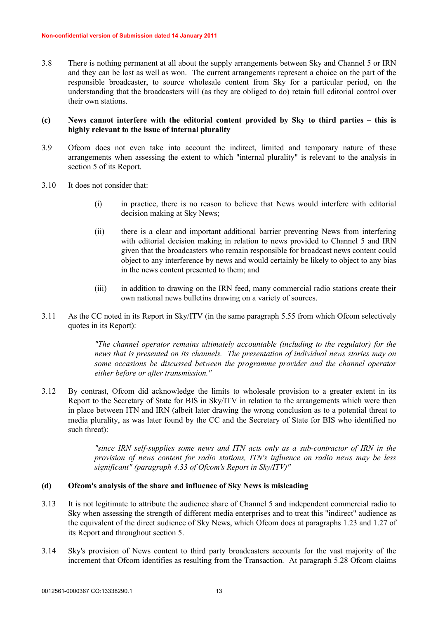3.8 There is nothing permanent at all about the supply arrangements between Sky and Channel 5 or IRN and they can be lost as well as won. The current arrangements represent a choice on the part of the responsible broadcaster, to source wholesale content from Sky for a particular period, on the understanding that the broadcasters will (as they are obliged to do) retain full editorial control over their own stations.

### **(c) News cannot interfere with the editorial content provided by Sky to third parties – this is highly relevant to the issue of internal plurality**

- 3.9 Ofcom does not even take into account the indirect, limited and temporary nature of these arrangements when assessing the extent to which "internal plurality" is relevant to the analysis in section 5 of its Report.
- 3.10 It does not consider that:
	- (i) in practice, there is no reason to believe that News would interfere with editorial decision making at Sky News;
	- (ii) there is a clear and important additional barrier preventing News from interfering with editorial decision making in relation to news provided to Channel 5 and IRN given that the broadcasters who remain responsible for broadcast news content could object to any interference by news and would certainly be likely to object to any bias in the news content presented to them; and
	- (iii) in addition to drawing on the IRN feed, many commercial radio stations create their own national news bulletins drawing on a variety of sources.
- 3.11 As the CC noted in its Report in Sky/ITV (in the same paragraph 5.55 from which Ofcom selectively quotes in its Report):

*"The channel operator remains ultimately accountable (including to the regulator) for the news that is presented on its channels. The presentation of individual news stories may on some occasions be discussed between the programme provider and the channel operator either before or after transmission."*

3.12 By contrast, Ofcom did acknowledge the limits to wholesale provision to a greater extent in its Report to the Secretary of State for BIS in Sky/ITV in relation to the arrangements which were then in place between ITN and IRN (albeit later drawing the wrong conclusion as to a potential threat to media plurality, as was later found by the CC and the Secretary of State for BIS who identified no such threat):

> *"since IRN self-supplies some news and ITN acts only as a sub-contractor of IRN in the provision of news content for radio stations, ITN's influence on radio news may be less significant" (paragraph 4.33 of Ofcom's Report in Sky/ITV)"*

## **(d) Ofcom's analysis of the share and influence of Sky News is misleading**

- 3.13 It is not legitimate to attribute the audience share of Channel 5 and independent commercial radio to Sky when assessing the strength of different media enterprises and to treat this "indirect" audience as the equivalent of the direct audience of Sky News, which Ofcom does at paragraphs 1.23 and 1.27 of its Report and throughout section 5.
- 3.14 Sky's provision of News content to third party broadcasters accounts for the vast majority of the increment that Ofcom identifies as resulting from the Transaction. At paragraph 5.28 Ofcom claims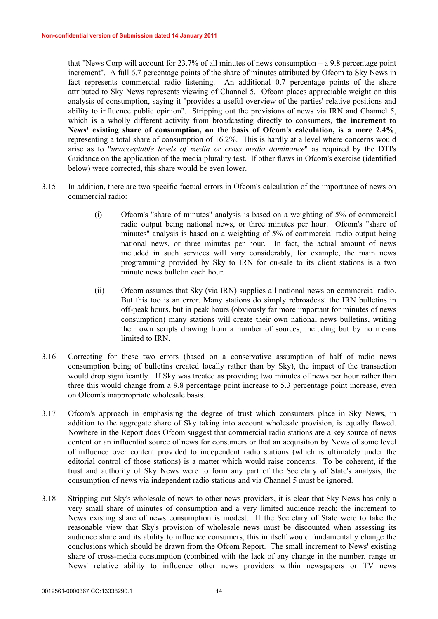that "News Corp will account for 23.7% of all minutes of news consumption – a 9.8 percentage point increment". A full 6.7 percentage points of the share of minutes attributed by Ofcom to Sky News in fact represents commercial radio listening. An additional 0.7 percentage points of the share attributed to Sky News represents viewing of Channel 5. Ofcom places appreciable weight on this analysis of consumption, saying it "provides a useful overview of the parties' relative positions and ability to influence public opinion". Stripping out the provisions of news via IRN and Channel 5, which is a wholly different activity from broadcasting directly to consumers, **the increment to News' existing share of consumption, on the basis of Ofcom's calculation, is a mere 2.4%**, representing a total share of consumption of 16.2%. This is hardly at a level where concerns would arise as to "*unacceptable levels of media or cross media dominance*" as required by the DTI's Guidance on the application of the media plurality test. If other flaws in Ofcom's exercise (identified below) were corrected, this share would be even lower.

- 3.15 In addition, there are two specific factual errors in Ofcom's calculation of the importance of news on commercial radio:
	- (i) Ofcom's "share of minutes" analysis is based on a weighting of 5% of commercial radio output being national news, or three minutes per hour. Ofcom's "share of minutes" analysis is based on a weighting of 5% of commercial radio output being national news, or three minutes per hour. In fact, the actual amount of news included in such services will vary considerably, for example, the main news programming provided by Sky to IRN for on-sale to its client stations is a two minute news bulletin each hour.
	- (ii) Ofcom assumes that Sky (via IRN) supplies all national news on commercial radio. But this too is an error. Many stations do simply rebroadcast the IRN bulletins in off-peak hours, but in peak hours (obviously far more important for minutes of news consumption) many stations will create their own national news bulletins, writing their own scripts drawing from a number of sources, including but by no means limited to IRN.
- 3.16 Correcting for these two errors (based on a conservative assumption of half of radio news consumption being of bulletins created locally rather than by Sky), the impact of the transaction would drop significantly. If Sky was treated as providing two minutes of news per hour rather than three this would change from a 9.8 percentage point increase to 5.3 percentage point increase, even on Ofcom's inappropriate wholesale basis.
- 3.17 Ofcom's approach in emphasising the degree of trust which consumers place in Sky News, in addition to the aggregate share of Sky taking into account wholesale provision, is equally flawed. Nowhere in the Report does Ofcom suggest that commercial radio stations are a key source of news content or an influential source of news for consumers or that an acquisition by News of some level of influence over content provided to independent radio stations (which is ultimately under the editorial control of those stations) is a matter which would raise concerns. To be coherent, if the trust and authority of Sky News were to form any part of the Secretary of State's analysis, the consumption of news via independent radio stations and via Channel 5 must be ignored.
- 3.18 Stripping out Sky's wholesale of news to other news providers, it is clear that Sky News has only a very small share of minutes of consumption and a very limited audience reach; the increment to News existing share of news consumption is modest. If the Secretary of State were to take the reasonable view that Sky's provision of wholesale news must be discounted when assessing its audience share and its ability to influence consumers, this in itself would fundamentally change the conclusions which should be drawn from the Ofcom Report. The small increment to News' existing share of cross-media consumption (combined with the lack of any change in the number, range or News' relative ability to influence other news providers within newspapers or TV news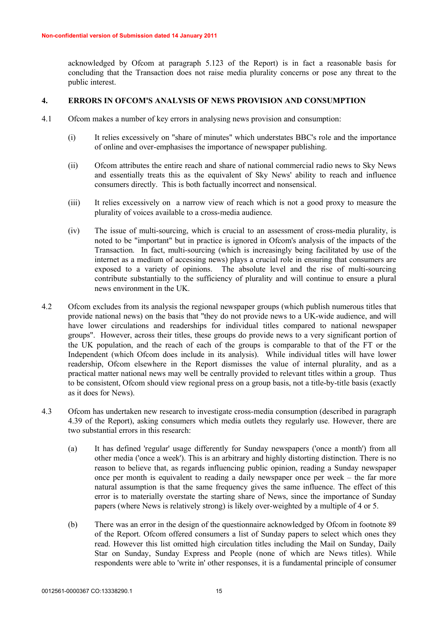acknowledged by Ofcom at paragraph 5.123 of the Report) is in fact a reasonable basis for concluding that the Transaction does not raise media plurality concerns or pose any threat to the public interest.

### **4. ERRORS IN OFCOM'S ANALYSIS OF NEWS PROVISION AND CONSUMPTION**

- 4.1 Ofcom makes a number of key errors in analysing news provision and consumption:
	- (i) It relies excessively on "share of minutes" which understates BBC's role and the importance of online and over-emphasises the importance of newspaper publishing.
	- (ii) Ofcom attributes the entire reach and share of national commercial radio news to Sky News and essentially treats this as the equivalent of Sky News' ability to reach and influence consumers directly. This is both factually incorrect and nonsensical.
	- (iii) It relies excessively on a narrow view of reach which is not a good proxy to measure the plurality of voices available to a cross-media audience.
	- (iv) The issue of multi-sourcing, which is crucial to an assessment of cross-media plurality, is noted to be "important" but in practice is ignored in Ofcom's analysis of the impacts of the Transaction. In fact, multi-sourcing (which is increasingly being facilitated by use of the internet as a medium of accessing news) plays a crucial role in ensuring that consumers are exposed to a variety of opinions. The absolute level and the rise of multi-sourcing contribute substantially to the sufficiency of plurality and will continue to ensure a plural news environment in the UK.
- 4.2 Ofcom excludes from its analysis the regional newspaper groups (which publish numerous titles that provide national news) on the basis that "they do not provide news to a UK-wide audience, and will have lower circulations and readerships for individual titles compared to national newspaper groups". However, across their titles, these groups do provide news to a very significant portion of the UK population, and the reach of each of the groups is comparable to that of the FT or the Independent (which Ofcom does include in its analysis). While individual titles will have lower readership, Ofcom elsewhere in the Report dismisses the value of internal plurality, and as a practical matter national news may well be centrally provided to relevant titles within a group. Thus to be consistent, Ofcom should view regional press on a group basis, not a title-by-title basis (exactly as it does for News).
- 4.3 Ofcom has undertaken new research to investigate cross-media consumption (described in paragraph 4.39 of the Report), asking consumers which media outlets they regularly use. However, there are two substantial errors in this research:
	- (a) It has defined 'regular' usage differently for Sunday newspapers ('once a month') from all other media ('once a week'). This is an arbitrary and highly distorting distinction. There is no reason to believe that, as regards influencing public opinion, reading a Sunday newspaper once per month is equivalent to reading a daily newspaper once per week – the far more natural assumption is that the same frequency gives the same influence. The effect of this error is to materially overstate the starting share of News, since the importance of Sunday papers (where News is relatively strong) is likely over-weighted by a multiple of 4 or 5.
	- (b) There was an error in the design of the questionnaire acknowledged by Ofcom in footnote 89 of the Report. Ofcom offered consumers a list of Sunday papers to select which ones they read. However this list omitted high circulation titles including the Mail on Sunday, Daily Star on Sunday, Sunday Express and People (none of which are News titles). While respondents were able to 'write in' other responses, it is a fundamental principle of consumer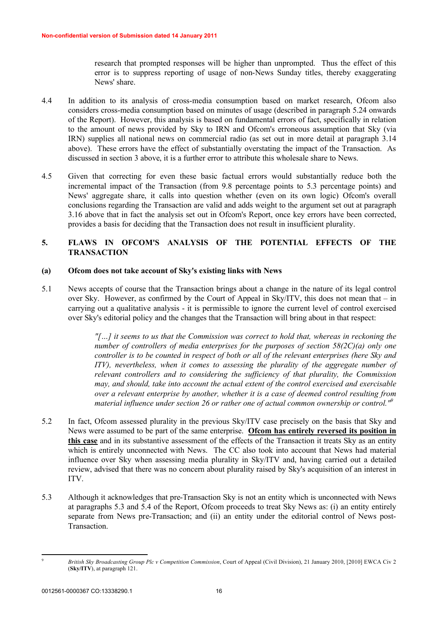research that prompted responses will be higher than unprompted. Thus the effect of this error is to suppress reporting of usage of non-News Sunday titles, thereby exaggerating News' share.

- 4.4 In addition to its analysis of cross-media consumption based on market research, Ofcom also considers cross-media consumption based on minutes of usage (described in paragraph 5.24 onwards of the Report). However, this analysis is based on fundamental errors of fact, specifically in relation to the amount of news provided by Sky to IRN and Ofcom's erroneous assumption that Sky (via IRN) supplies all national news on commercial radio (as set out in more detail at paragraph 3.14 above). These errors have the effect of substantially overstating the impact of the Transaction. As discussed in section 3 above, it is a further error to attribute this wholesale share to News.
- 4.5 Given that correcting for even these basic factual errors would substantially reduce both the incremental impact of the Transaction (from 9.8 percentage points to 5.3 percentage points) and News' aggregate share, it calls into question whether (even on its own logic) Ofcom's overall conclusions regarding the Transaction are valid and adds weight to the argument set out at paragraph 3.16 above that in fact the analysis set out in Ofcom's Report, once key errors have been corrected, provides a basis for deciding that the Transaction does not result in insufficient plurality.

# **5. FLAWS IN OFCOM'S ANALYSIS OF THE POTENTIAL EFFECTS OF THE TRANSACTION**

## **(a) Ofcom does not take account of Sky's existing links with News**

5.1 News accepts of course that the Transaction brings about a change in the nature of its legal control over Sky. However, as confirmed by the Court of Appeal in Sky/ITV, this does not mean that – in carrying out a qualitative analysis - it is permissible to ignore the current level of control exercised over Sky's editorial policy and the changes that the Transaction will bring about in that respect:

> *"[…] it seems to us that the Commission was correct to hold that, whereas in reckoning the number of controllers of media enterprises for the purposes of section 58(2C)(a) only one controller is to be counted in respect of both or all of the relevant enterprises (here Sky and ITV*), nevertheless, when it comes to assessing the plurality of the aggregate number of *relevant controllers and to considering the sufficiency of that plurality, the Commission may, and should, take into account the actual extent of the control exercised and exercisable over a relevant enterprise by another, whether it is a case of deemed control resulting from material influence under section 26 or rather one of actual common ownership or control."<sup>9</sup>*

- 5.2 In fact, Ofcom assessed plurality in the previous Sky/ITV case precisely on the basis that Sky and News were assumed to be part of the same enterprise. **Ofcom has entirely reversed its position in this case** and in its substantive assessment of the effects of the Transaction it treats Sky as an entity which is entirely unconnected with News. The CC also took into account that News had material influence over Sky when assessing media plurality in Sky/ITV and, having carried out a detailed review, advised that there was no concern about plurality raised by Sky's acquisition of an interest in ITV.
- 5.3 Although it acknowledges that pre-Transaction Sky is not an entity which is unconnected with News at paragraphs 5.3 and 5.4 of the Report, Ofcom proceeds to treat Sky News as: (i) an entity entirely separate from News pre-Transaction; and (ii) an entity under the editorial control of News post-Transaction.

<sup>9</sup> *British Sky Broadcasting Group Plc v Competition Commission*, Court of Appeal (Civil Division), 21 January 2010, [2010] EWCA Civ 2 (**Sky/ITV**), at paragraph 121.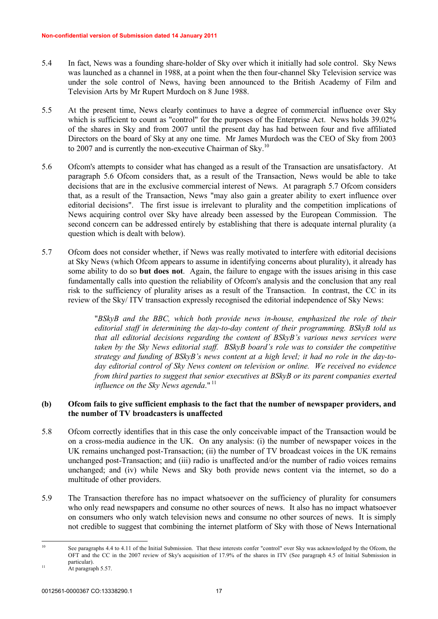- 5.4 In fact, News was a founding share-holder of Sky over which it initially had sole control. Sky News was launched as a channel in 1988, at a point when the then four-channel Sky Television service was under the sole control of News, having been announced to the British Academy of Film and Television Arts by Mr Rupert Murdoch on 8 June 1988.
- 5.5 At the present time, News clearly continues to have a degree of commercial influence over Sky which is sufficient to count as "control" for the purposes of the Enterprise Act. News holds 39.02% of the shares in Sky and from 2007 until the present day has had between four and five affiliated Directors on the board of Sky at any one time. Mr James Murdoch was the CEO of Sky from 2003 to 2007 and is currently the non-executive Chairman of Sky.<sup>10</sup>
- 5.6 Ofcom's attempts to consider what has changed as a result of the Transaction are unsatisfactory. At paragraph 5.6 Ofcom considers that, as a result of the Transaction, News would be able to take decisions that are in the exclusive commercial interest of News. At paragraph 5.7 Ofcom considers that, as a result of the Transaction, News "may also gain a greater ability to exert influence over editorial decisions". The first issue is irrelevant to plurality and the competition implications of News acquiring control over Sky have already been assessed by the European Commission. The second concern can be addressed entirely by establishing that there is adequate internal plurality (a question which is dealt with below).
- 5.7 Ofcom does not consider whether, if News was really motivated to interfere with editorial decisions at Sky News (which Ofcom appears to assume in identifying concerns about plurality), it already has some ability to do so **but does not**. Again, the failure to engage with the issues arising in this case fundamentally calls into question the reliability of Ofcom's analysis and the conclusion that any real risk to the sufficiency of plurality arises as a result of the Transaction. In contrast, the CC in its review of the Sky/ ITV transaction expressly recognised the editorial independence of Sky News:

"*BSkyB and the BBC, which both provide news in-house, emphasized the role of their editorial staff in determining the day-to-day content of their programming. BSkyB told us that all editorial decisions regarding the content of BSkyB's various news services were taken by the Sky News editorial staff. BSkyB board's role was to consider the competitive strategy and funding of BSkyB's news content at a high level; it had no role in the day-today editorial control of Sky News content on television or online. We received no evidence from third parties to suggest that senior executives at BSkyB or its parent companies exerted influence on the Sky News agenda*."<sup>11</sup>

## **(b) Ofcom fails to give sufficient emphasis to the fact that the number of newspaper providers, and the number of TV broadcasters is unaffected**

- 5.8 Ofcom correctly identifies that in this case the only conceivable impact of the Transaction would be on a cross-media audience in the UK. On any analysis: (i) the number of newspaper voices in the UK remains unchanged post-Transaction; (ii) the number of TV broadcast voices in the UK remains unchanged post-Transaction; and (iii) radio is unaffected and/or the number of radio voices remains unchanged; and (iv) while News and Sky both provide news content via the internet, so do a multitude of other providers.
- 5.9 The Transaction therefore has no impact whatsoever on the sufficiency of plurality for consumers who only read newspapers and consume no other sources of news. It also has no impact whatsoever on consumers who only watch television news and consume no other sources of news. It is simply not credible to suggest that combining the internet platform of Sky with those of News International

<sup>&</sup>lt;sup>10</sup> See paragraphs 4.4 to 4.11 of the Initial Submission. That these interests confer "control" over Sky was acknowledged by the Ofcom, the OFT and the CC in the 2007 review of Sky's acquisition of 17.9% of the shares in ITV (See paragraph 4.5 of Initial Submission in particular).

 $11$  At paragraph 5.57.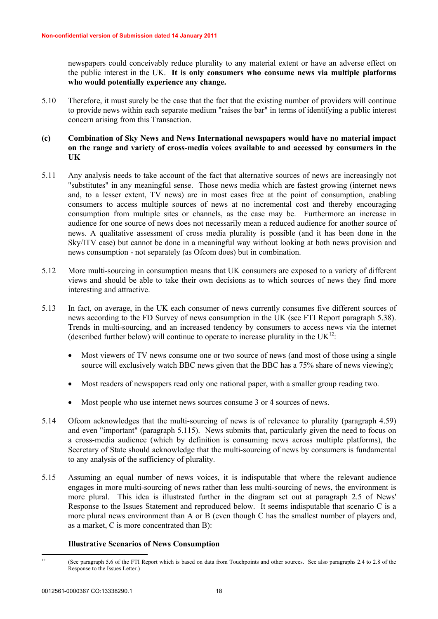newspapers could conceivably reduce plurality to any material extent or have an adverse effect on the public interest in the UK. **It is only consumers who consume news via multiple platforms who would potentially experience any change.**

- 5.10 Therefore, it must surely be the case that the fact that the existing number of providers will continue to provide news within each separate medium "raises the bar" in terms of identifying a public interest concern arising from this Transaction.
- **(c) Combination of Sky News and News International newspapers would have no material impact on the range and variety of cross-media voices available to and accessed by consumers in the UK**
- 5.11 Any analysis needs to take account of the fact that alternative sources of news are increasingly not "substitutes" in any meaningful sense. Those news media which are fastest growing (internet news and, to a lesser extent, TV news) are in most cases free at the point of consumption, enabling consumers to access multiple sources of news at no incremental cost and thereby encouraging consumption from multiple sites or channels, as the case may be. Furthermore an increase in audience for one source of news does not necessarily mean a reduced audience for another source of news. A qualitative assessment of cross media plurality is possible (and it has been done in the Sky/ITV case) but cannot be done in a meaningful way without looking at both news provision and news consumption - not separately (as Ofcom does) but in combination.
- 5.12 More multi-sourcing in consumption means that UK consumers are exposed to a variety of different views and should be able to take their own decisions as to which sources of news they find more interesting and attractive.
- 5.13 In fact, on average, in the UK each consumer of news currently consumes five different sources of news according to the FD Survey of news consumption in the UK (see FTI Report paragraph 5.38). Trends in multi-sourcing, and an increased tendency by consumers to access news via the internet (described further below) will continue to operate to increase plurality in the  $UK^{12}$ :
	- Most viewers of TV news consume one or two source of news (and most of those using a single source will exclusively watch BBC news given that the BBC has a 75% share of news viewing);
	- · Most readers of newspapers read only one national paper, with a smaller group reading two.
	- Most people who use internet news sources consume 3 or 4 sources of news.
- 5.14 Ofcom acknowledges that the multi-sourcing of news is of relevance to plurality (paragraph 4.59) and even "important" (paragraph 5.115). News submits that, particularly given the need to focus on a cross-media audience (which by definition is consuming news across multiple platforms), the Secretary of State should acknowledge that the multi-sourcing of news by consumers is fundamental to any analysis of the sufficiency of plurality.
- 5.15 Assuming an equal number of news voices, it is indisputable that where the relevant audience engages in more multi-sourcing of news rather than less multi-sourcing of news, the environment is more plural. This idea is illustrated further in the diagram set out at paragraph 2.5 of News' Response to the Issues Statement and reproduced below. It seems indisputable that scenario C is a more plural news environment than A or B (even though C has the smallest number of players and, as a market, C is more concentrated than B):

## **Illustrative Scenarios of News Consumption**

<sup>&</sup>lt;sup>12</sup> (See paragraph 5.6 of the FTI Report which is based on data from Touchpoints and other sources. See also paragraphs 2.4 to 2.8 of the Response to the Issues Letter.)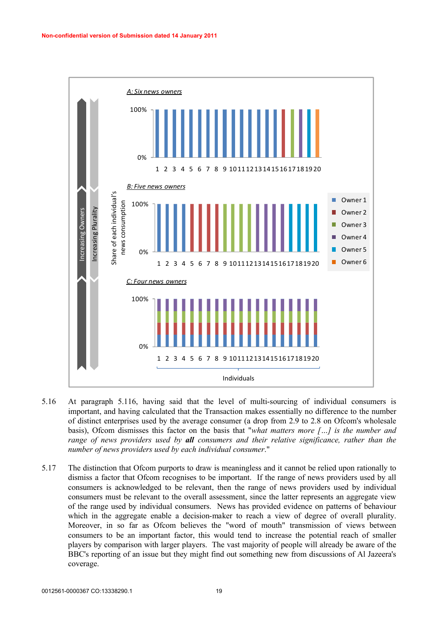

- 5.16 At paragraph 5.116, having said that the level of multi-sourcing of individual consumers is important, and having calculated that the Transaction makes essentially no difference to the number of distinct enterprises used by the average consumer (a drop from 2.9 to 2.8 on Ofcom's wholesale basis), Ofcom dismisses this factor on the basis that "*what matters more […] is the number and range of news providers used by all consumers and their relative significance, rather than the number of news providers used by each individual consumer*."
- 5.17 The distinction that Ofcom purports to draw is meaningless and it cannot be relied upon rationally to dismiss a factor that Ofcom recognises to be important. If the range of news providers used by all consumers is acknowledged to be relevant, then the range of news providers used by individual consumers must be relevant to the overall assessment, since the latter represents an aggregate view of the range used by individual consumers. News has provided evidence on patterns of behaviour which in the aggregate enable a decision-maker to reach a view of degree of overall plurality. Moreover, in so far as Ofcom believes the "word of mouth" transmission of views between consumers to be an important factor, this would tend to increase the potential reach of smaller players by comparison with larger players. The vast majority of people will already be aware of the BBC's reporting of an issue but they might find out something new from discussions of Al Jazeera's coverage.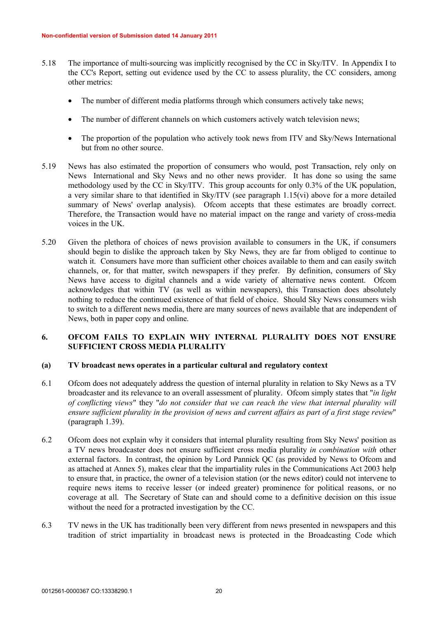- 5.18 The importance of multi-sourcing was implicitly recognised by the CC in Sky/ITV. In Appendix I to the CC's Report, setting out evidence used by the CC to assess plurality, the CC considers, among other metrics:
	- The number of different media platforms through which consumers actively take news:
	- The number of different channels on which customers actively watch television news;
	- The proportion of the population who actively took news from ITV and Sky/News International but from no other source.
- 5.19 News has also estimated the proportion of consumers who would, post Transaction, rely only on News International and Sky News and no other news provider. It has done so using the same methodology used by the CC in Sky/ITV. This group accounts for only 0.3% of the UK population, a very similar share to that identified in Sky/ITV (see paragraph 1.15(vi) above for a more detailed summary of News' overlap analysis). Of com accepts that these estimates are broadly correct. Therefore, the Transaction would have no material impact on the range and variety of cross-media voices in the UK.
- 5.20 Given the plethora of choices of news provision available to consumers in the UK, if consumers should begin to dislike the approach taken by Sky News, they are far from obliged to continue to watch it. Consumers have more than sufficient other choices available to them and can easily switch channels, or, for that matter, switch newspapers if they prefer. By definition, consumers of Sky News have access to digital channels and a wide variety of alternative news content. Ofcom acknowledges that within TV (as well as within newspapers), this Transaction does absolutely nothing to reduce the continued existence of that field of choice. Should Sky News consumers wish to switch to a different news media, there are many sources of news available that are independent of News, both in paper copy and online.

## **6. OFCOM FAILS TO EXPLAIN WHY INTERNAL PLURALITY DOES NOT ENSURE SUFFICIENT CROSS MEDIA PLURALITY**

## **(a) TV broadcast news operates in a particular cultural and regulatory context**

- 6.1 Ofcom does not adequately address the question of internal plurality in relation to Sky News as a TV broadcaster and its relevance to an overall assessment of plurality. Ofcom simply states that "*in light of conflicting views*" they "*do not consider that we can reach the view that internal plurality will ensure sufficient plurality in the provision of news and current affairs as part of a first stage review*" (paragraph 1.39).
- 6.2 Ofcom does not explain why it considers that internal plurality resulting from Sky News' position as a TV news broadcaster does not ensure sufficient cross media plurality *in combination with* other external factors. In contrast, the opinion by Lord Pannick QC (as provided by News to Ofcom and as attached at Annex 5), makes clear that the impartiality rules in the Communications Act 2003 help to ensure that, in practice, the owner of a television station (or the news editor) could not intervene to require news items to receive lesser (or indeed greater) prominence for political reasons, or no coverage at all. The Secretary of State can and should come to a definitive decision on this issue without the need for a protracted investigation by the CC.
- 6.3 TV news in the UK has traditionally been very different from news presented in newspapers and this tradition of strict impartiality in broadcast news is protected in the Broadcasting Code which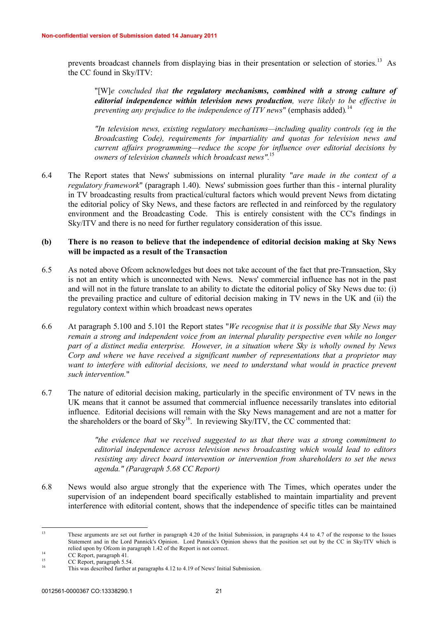prevents broadcast channels from displaying bias in their presentation or selection of stories.<sup>13</sup> As the CC found in Sky/ITV:

"[W]*e concluded that the regulatory mechanisms, combined with a strong culture of editorial independence within television news production, were likely to be effective in preventing any prejudice to the independence of ITV news*" (emphasis added)*.* 14

*"In television news, existing regulatory mechanisms—including quality controls (eg in the Broadcasting Code), requirements for impartiality and quotas for television news and current affairs programming—reduce the scope for influence over editorial decisions by owners of television channels which broadcast news".*<sup>1</sup>

6.4 The Report states that News' submissions on internal plurality "*are made in the context of a regulatory framework*" (paragraph 1.40). News' submission goes further than this - internal plurality in TV broadcasting results from practical/cultural factors which would prevent News from dictating the editorial policy of Sky News, and these factors are reflected in and reinforced by the regulatory environment and the Broadcasting Code. This is entirely consistent with the CC's findings in Sky/ITV and there is no need for further regulatory consideration of this issue.

## **(b) There is no reason to believe that the independence of editorial decision making at Sky News will be impacted as a result of the Transaction**

- 6.5 As noted above Ofcom acknowledges but does not take account of the fact that pre-Transaction, Sky is not an entity which is unconnected with News. News' commercial influence has not in the past and will not in the future translate to an ability to dictate the editorial policy of Sky News due to: (i) the prevailing practice and culture of editorial decision making in TV news in the UK and (ii) the regulatory context within which broadcast news operates
- 6.6 At paragraph 5.100 and 5.101 the Report states "*We recognise that it is possible that Sky News may remain a strong and independent voice from an internal plurality perspective even while no longer part of a distinct media enterprise. However, in a situation where Sky is wholly owned by News Corp and where we have received a significant number of representations that a proprietor may*  want to interfere with editorial decisions, we need to understand what would in practice prevent *such intervention.*"
- 6.7 The nature of editorial decision making, particularly in the specific environment of TV news in the UK means that it cannot be assumed that commercial influence necessarily translates into editorial influence. Editorial decisions will remain with the Sky News management and are not a matter for the shareholders or the board of  $\text{Sky}^{16}$ . In reviewing  $\text{Sky}^{17}$ , the CC commented that:

*"the evidence that we received suggested to us that there was a strong commitment to editorial independence across television news broadcasting which would lead to editors resisting any direct board intervention or intervention from shareholders to set the news agenda." (Paragraph 5.68 CC Report)*

6.8 News would also argue strongly that the experience with The Times, which operates under the supervision of an independent board specifically established to maintain impartiality and prevent interference with editorial content, shows that the independence of specific titles can be maintained

<sup>&</sup>lt;sup>13</sup> These arguments are set out further in paragraph 4.20 of the Initial Submission, in paragraphs 4.4 to 4.7 of the response to the Issues Statement and in the Lord Pannick's Opinion. Lord Pannick's Opinion shows that the position set out by the CC in Sky/ITV which is relied upon by Ofcom in paragraph 1.42 of the Report is not correct.

<sup>&</sup>lt;sup>14</sup> CC Report, paragraph 41.

 $\frac{15}{16}$  CC Report, paragraph 5.54.

This was described further at paragraphs 4.12 to 4.19 of News' Initial Submission.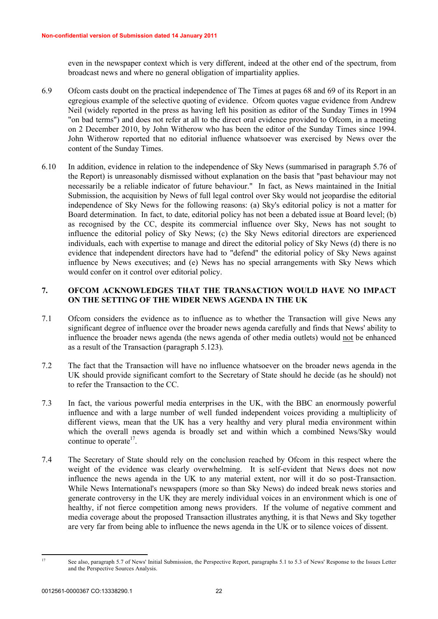even in the newspaper context which is very different, indeed at the other end of the spectrum, from broadcast news and where no general obligation of impartiality applies.

- 6.9 Ofcom casts doubt on the practical independence of The Times at pages 68 and 69 of its Report in an egregious example of the selective quoting of evidence. Ofcom quotes vague evidence from Andrew Neil (widely reported in the press as having left his position as editor of the Sunday Times in 1994 "on bad terms") and does not refer at all to the direct oral evidence provided to Ofcom, in a meeting on 2 December 2010, by John Witherow who has been the editor of the Sunday Times since 1994. John Witherow reported that no editorial influence whatsoever was exercised by News over the content of the Sunday Times.
- 6.10 In addition, evidence in relation to the independence of Sky News (summarised in paragraph 5.76 of the Report) is unreasonably dismissed without explanation on the basis that "past behaviour may not necessarily be a reliable indicator of future behaviour." In fact, as News maintained in the Initial Submission, the acquisition by News of full legal control over Sky would not jeopardise the editorial independence of Sky News for the following reasons: (a) Sky's editorial policy is not a matter for Board determination. In fact, to date, editorial policy has not been a debated issue at Board level; (b) as recognised by the CC, despite its commercial influence over Sky, News has not sought to influence the editorial policy of Sky News; (c) the Sky News editorial directors are experienced individuals, each with expertise to manage and direct the editorial policy of Sky News (d) there is no evidence that independent directors have had to "defend" the editorial policy of Sky News against influence by News executives; and (e) News has no special arrangements with Sky News which would confer on it control over editorial policy.

# **7. OFCOM ACKNOWLEDGES THAT THE TRANSACTION WOULD HAVE NO IMPACT ON THE SETTING OF THE WIDER NEWS AGENDA IN THE UK**

- 7.1 Ofcom considers the evidence as to influence as to whether the Transaction will give News any significant degree of influence over the broader news agenda carefully and finds that News' ability to influence the broader news agenda (the news agenda of other media outlets) would not be enhanced as a result of the Transaction (paragraph 5.123).
- 7.2 The fact that the Transaction will have no influence whatsoever on the broader news agenda in the UK should provide significant comfort to the Secretary of State should he decide (as he should) not to refer the Transaction to the CC.
- 7.3 In fact, the various powerful media enterprises in the UK, with the BBC an enormously powerful influence and with a large number of well funded independent voices providing a multiplicity of different views, mean that the UK has a very healthy and very plural media environment within which the overall news agenda is broadly set and within which a combined News/Sky would continue to operate<sup>17</sup>.
- 7.4 The Secretary of State should rely on the conclusion reached by Ofcom in this respect where the weight of the evidence was clearly overwhelming. It is self-evident that News does not now influence the news agenda in the UK to any material extent, nor will it do so post-Transaction. While News International's newspapers (more so than Sky News) do indeed break news stories and generate controversy in the UK they are merely individual voices in an environment which is one of healthy, if not fierce competition among news providers. If the volume of negative comment and media coverage about the proposed Transaction illustrates anything, it is that News and Sky together are very far from being able to influence the news agenda in the UK or to silence voices of dissent.

<sup>&</sup>lt;sup>17</sup> See also, paragraph 5.7 of News' Initial Submission, the Perspective Report, paragraphs 5.1 to 5.3 of News' Response to the Issues Letter and the Perspective Sources Analysis.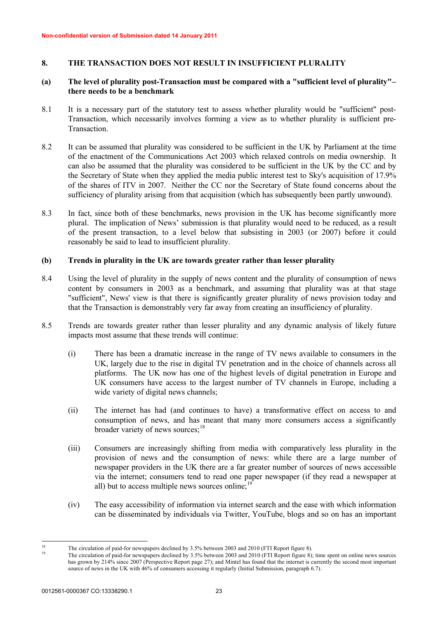# **8. THE TRANSACTION DOES NOT RESULT IN INSUFFICIENT PLURALITY**

## **(a) The level of plurality post-Transaction must be compared with a "sufficient level of plurality"– there needs to be a benchmark**

- 8.1 It is a necessary part of the statutory test to assess whether plurality would be "sufficient" post-Transaction, which necessarily involves forming a view as to whether plurality is sufficient pre-Transaction.
- 8.2 It can be assumed that plurality was considered to be sufficient in the UK by Parliament at the time of the enactment of the Communications Act 2003 which relaxed controls on media ownership. It can also be assumed that the plurality was considered to be sufficient in the UK by the CC and by the Secretary of State when they applied the media public interest test to Sky's acquisition of 17.9% of the shares of ITV in 2007. Neither the CC nor the Secretary of State found concerns about the sufficiency of plurality arising from that acquisition (which has subsequently been partly unwound).
- 8.3 In fact, since both of these benchmarks, news provision in the UK has become significantly more plural. The implication of News' submission is that plurality would need to be reduced, as a result of the present transaction, to a level below that subsisting in 2003 (or 2007) before it could reasonably be said to lead to insufficient plurality.

## **(b) Trends in plurality in the UK are towards greater rather than lesser plurality**

- 8.4 Using the level of plurality in the supply of news content and the plurality of consumption of news content by consumers in 2003 as a benchmark, and assuming that plurality was at that stage "sufficient", News' view is that there is significantly greater plurality of news provision today and that the Transaction is demonstrably very far away from creating an insufficiency of plurality.
- 8.5 Trends are towards greater rather than lesser plurality and any dynamic analysis of likely future impacts most assume that these trends will continue:
	- (i) There has been a dramatic increase in the range of TV news available to consumers in the UK, largely due to the rise in digital TV penetration and in the choice of channels across all platforms. The UK now has one of the highest levels of digital penetration in Europe and UK consumers have access to the largest number of TV channels in Europe, including a wide variety of digital news channels;
	- (ii) The internet has had (and continues to have) a transformative effect on access to and consumption of news, and has meant that many more consumers access a significantly broader variety of news sources;<sup>18</sup>
	- (iii) Consumers are increasingly shifting from media with comparatively less plurality in the provision of news and the consumption of news: while there are a large number of newspaper providers in the UK there are a far greater number of sources of news accessible via the internet; consumers tend to read one paper newspaper (if they read a newspaper at all) but to access multiple news sources online; $^{19}$
	- (iv) The easy accessibility of information via internet search and the ease with which information can be disseminated by individuals via Twitter, YouTube, blogs and so on has an important

<sup>&</sup>lt;sup>18</sup> The circulation of paid-for newspapers declined by 3.5% between 2003 and 2010 (FTI Report figure 8).<br><sup>19</sup> The simulation of paid-for newspapers declined by 2.5% between 2003 and 2010 (FTI Report figure 8):

<sup>19</sup> The circulation of paid-for newspapers declined by 3.5% between 2003 and 2010 (FTI Report figure 8); time spent on online news sources has grown by 214% since 2007 (Perspective Report page 27); and Mintel has found that the internet is currently the second most important source of news in the UK with 46% of consumers accessing it regularly (Initial Submission, paragraph 6.7).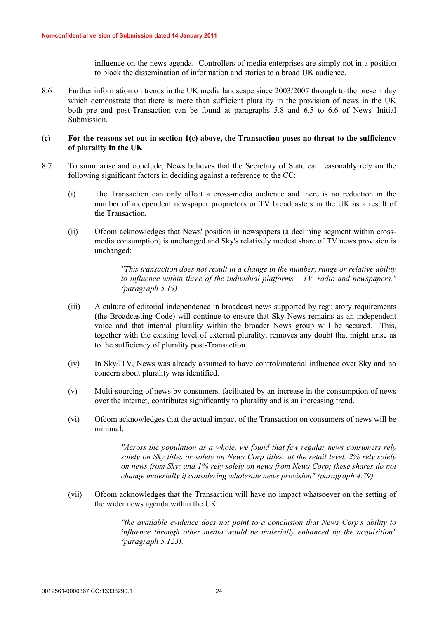influence on the news agenda. Controllers of media enterprises are simply not in a position to block the dissemination of information and stories to a broad UK audience.

8.6 Further information on trends in the UK media landscape since 2003/2007 through to the present day which demonstrate that there is more than sufficient plurality in the provision of news in the UK both pre and post-Transaction can be found at paragraphs 5.8 and 6.5 to 6.6 of News' Initial Submission.

#### **(c) For the reasons set out in section 1(c) above, the Transaction poses no threat to the sufficiency of plurality in the UK**

- 8.7 To summarise and conclude, News believes that the Secretary of State can reasonably rely on the following significant factors in deciding against a reference to the CC:
	- (i) The Transaction can only affect a cross-media audience and there is no reduction in the number of independent newspaper proprietors or TV broadcasters in the UK as a result of the Transaction.
	- (ii) Ofcom acknowledges that News' position in newspapers (a declining segment within crossmedia consumption) is unchanged and Sky's relatively modest share of TV news provision is unchanged:

*"This transaction does not result in a change in the number, range or relative ability to influence within three of the individual platforms – TV, radio and newspapers." (paragraph 5.19)*

- (iii) A culture of editorial independence in broadcast news supported by regulatory requirements (the Broadcasting Code) will continue to ensure that Sky News remains as an independent voice and that internal plurality within the broader News group will be secured. This, together with the existing level of external plurality, removes any doubt that might arise as to the sufficiency of plurality post-Transaction.
- (iv) In Sky/ITV, News was already assumed to have control/material influence over Sky and no concern about plurality was identified.
- (v) Multi-sourcing of news by consumers, facilitated by an increase in the consumption of news over the internet, contributes significantly to plurality and is an increasing trend.
- (vi) Ofcom acknowledges that the actual impact of the Transaction on consumers of news will be minimal:

*"Across the population as a whole, we found that few regular news consumers rely solely on Sky titles or solely on News Corp titles: at the retail level, 2% rely solely on news from Sky; and 1% rely solely on news from News Corp; these shares do not change materially if considering wholesale news provision" (paragraph 4.79).*

(vii) Ofcom acknowledges that the Transaction will have no impact whatsoever on the setting of the wider news agenda within the UK:

> *"the available evidence does not point to a conclusion that News Corp's ability to influence through other media would be materially enhanced by the acquisition" (paragraph 5.123).*